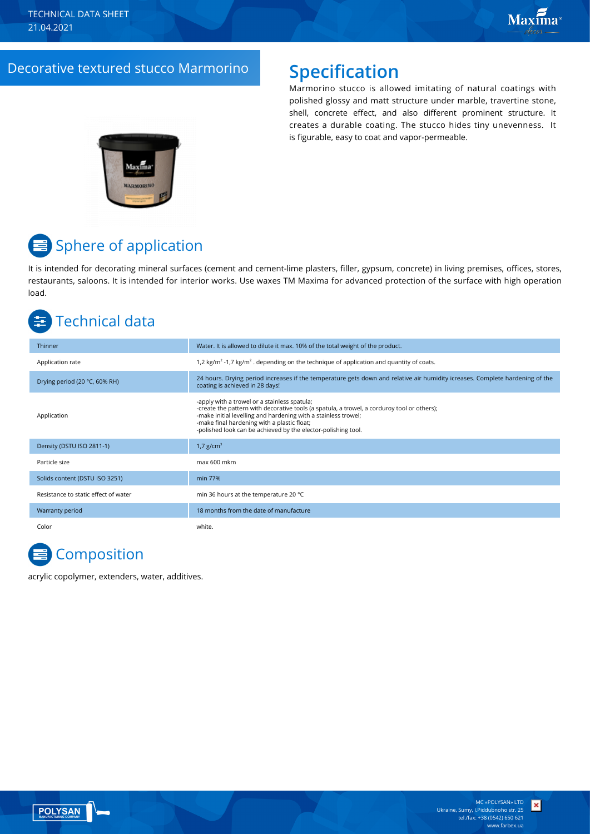## Decorative textured stucco Marmorino **Specification**

Marmorino stucco is allowed imitating of natural coatings with polished glossy and matt structure under marble, travertine stone, shell, concrete effect, and also different prominent structure. It creates a durable coating. The stucco hides tiny unevenness. It is figurable, easy to coat and vapor-permeable.



# <mark>≡</mark> Sphere of application

It is intended for decorating mineral surfaces (cement and cement-lime plasters, filler, gypsum, concrete) in living premises, offices, stores, restaurants, saloons. It is intended for interior works. Use waxes TM Maxima for advanced protection of the surface with high operation load.

# Technical data

| Thinner                              | Water. It is allowed to dilute it max. 10% of the total weight of the product.                                                                                                                                                                                                                                                |
|--------------------------------------|-------------------------------------------------------------------------------------------------------------------------------------------------------------------------------------------------------------------------------------------------------------------------------------------------------------------------------|
| Application rate                     | 1,2 kg/m <sup>2</sup> -1,7 kg/m <sup>2</sup> . depending on the technique of application and quantity of coats.                                                                                                                                                                                                               |
| Drying period (20 °C, 60% RH)        | 24 hours. Drying period increases if the temperature gets down and relative air humidity icreases. Complete hardening of the<br>coating is achieved in 28 days!                                                                                                                                                               |
| Application                          | -apply with a trowel or a stainless spatula;<br>-create the pattern with decorative tools (a spatula, a trowel, a corduroy tool or others);<br>-make initial levelling and hardening with a stainless trowel;<br>-make final hardening with a plastic float;<br>-polished look can be achieved by the elector-polishing tool. |
| Density (DSTU ISO 2811-1)            | 1,7 $g/cm3$                                                                                                                                                                                                                                                                                                                   |
| Particle size                        | max 600 mkm                                                                                                                                                                                                                                                                                                                   |
| Solids content (DSTU ISO 3251)       | min 77%                                                                                                                                                                                                                                                                                                                       |
| Resistance to static effect of water | min 36 hours at the temperature 20 °C                                                                                                                                                                                                                                                                                         |
| Warranty period                      | 18 months from the date of manufacture                                                                                                                                                                                                                                                                                        |
| Color                                | white.                                                                                                                                                                                                                                                                                                                        |

# **Composition**

acrylic copolymer, extenders, water, additives.

×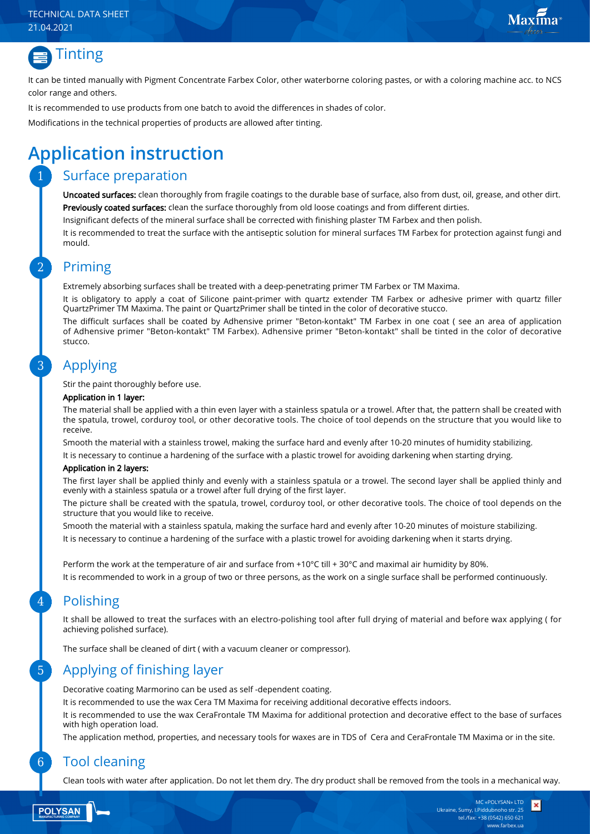#### TECHNICAL DATA SHEET 21.04.2021





It can be tinted manually with Pigment Concentrate Farbex Color, other waterborne coloring pastes, or with a coloring machine acc. to NCS color range and others.

It is recommended to use products from one batch to avoid the differences in shades of color.

Modifications in the technical properties of products are allowed after tinting.

# **Application instruction**

### Surface preparation

Uncoated surfaces: clean thoroughly from fragile coatings to the durable base of surface, also from dust, oil, grease, and other dirt. Previously coated surfaces: clean the surface thoroughly from old loose coatings and from different dirties.

Insignificant defects of the mineral surface shall be corrected with finishing plaster TM Farbex and then polish.

It is recommended to treat the surface with the antiseptic solution for mineral surfaces TM Farbex for protection against fungi and mould.

#### Priming

Extremely absorbing surfaces shall be treated with a deep-penetrating primer TM Farbex or TM Maxima.

It is obligatory to apply a coat of Silicone paint-primer with quartz extender TM Farbex or adhesive primer with quartz filler QuartzPrimer TM Maxima. The paint or QuartzPrimer shall be tinted in the color of decorative stucco.

The difficult surfaces shall be coated by Adhensive primer "Beton-kontakt" TM Farbex in one coat ( see an area of application of Adhensive primer "Beton-kontakt" TM Farbex). Adhensive primer "Beton-kontakt" shall be tinted in the color of decorative stucco.

### Applying

Stir the paint thoroughly before use.

#### Application in 1 layer:

The material shall be applied with a thin even layer with a stainless spatula or a trowel. After that, the pattern shall be created with the spatula, trowel, corduroy tool, or other decorative tools. The choice of tool depends on the structure that you would like to receive.

Smooth the material with a stainless trowel, making the surface hard and evenly after 10-20 minutes of humidity stabilizing.

It is necessary to continue a hardening of the surface with a plastic trowel for avoiding darkening when starting drying.

#### Application in 2 layers:

The first layer shall be applied thinly and evenly with a stainless spatula or a trowel. The second layer shall be applied thinly and evenly with a stainless spatula or a trowel after full drying of the first layer.

The picture shall be created with the spatula, trowel, corduroy tool, or other decorative tools. The choice of tool depends on the structure that you would like to receive.

Smooth the material with a stainless spatula, making the surface hard and evenly after 10-20 minutes of moisture stabilizing. It is necessary to continue a hardening of the surface with a plastic trowel for avoiding darkening when it starts drying.

Perform the work at the temperature of air and surface from +10°С till + 30°С and maximal air humidity by 80%. It is recommended to work in a group of two or three persons, as the work on a single surface shall be performed continuously.

### Polishing

It shall be allowed to treat the surfaces with an electro-polishing tool after full drying of material and before wax applying ( for achieving polished surface).

The surface shall be cleaned of dirt ( with a vacuum cleaner or compressor).

### Applying of finishing layer

Decorative coating Marmorino can be used as self -dependent coating.

It is recommended to use the wax Cera TM Maxima for receiving additional decorative effects indoors.

It is recommended to use the wax CeraFrontale TM Maxima for additional protection and decorative effect to the base of surfaces with high operation load.

The application method, properties, and necessary tools for waxes are in TDS of Cera and CeraFrontale TM Maxima or in the site.

#### Tool cleaning

Clean tools with water after application. Do not let them dry. The dry product shall be removed from the tools in a mechanical way.

**POLYSAN** 

6

5

4

3

2

1

×